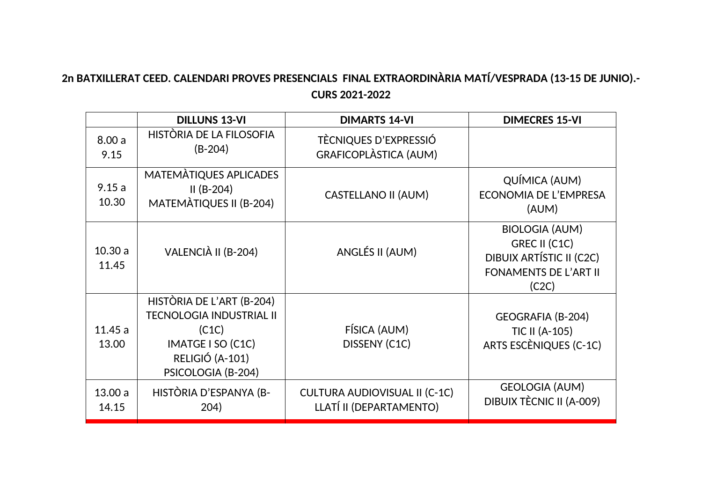## **2n BATXILLERAT CEED. CALENDARI PROVES PRESENCIALS FINAL EXTRAORDINÀRIA MATÍ/VESPRADA (13-15 DE JUNIO).- CURS 2021-2022**

|                 | <b>DILLUNS 13-VI</b>                                                                                                                | <b>DIMARTS 14-VI</b>                                            | <b>DIMECRES 15-VI</b>                                                                                       |
|-----------------|-------------------------------------------------------------------------------------------------------------------------------------|-----------------------------------------------------------------|-------------------------------------------------------------------------------------------------------------|
| 8.00a<br>9.15   | HISTÒRIA DE LA FILOSOFIA<br>$(B-204)$                                                                                               | TÈCNIQUES D'EXPRESSIÓ<br><b>GRAFICOPLÀSTICA (AUM)</b>           |                                                                                                             |
| 9.15a<br>10.30  | MATEMÀTIQUES APLICADES<br>$II(B-204)$<br>MATEMÀTIQUES II (B-204)                                                                    | <b>CASTELLANO II (AUM)</b>                                      | QUÍMICA (AUM)<br>ECONOMIA DE L'EMPRESA<br>(AUM)                                                             |
| 10.30a<br>11.45 | VALENCIÀ II (B-204)                                                                                                                 | ANGLÉS II (AUM)                                                 | <b>BIOLOGIA (AUM)</b><br>GREC II (C1C)<br>DIBUIX ARTÍSTIC II (C2C)<br><b>FONAMENTS DE L'ART II</b><br>(C2C) |
| 11.45a<br>13.00 | HISTÒRIA DE L'ART (B-204)<br><b>TECNOLOGIA INDUSTRIAL II</b><br>(C1C)<br>IMATGE I SO (C1C)<br>RELIGIÓ (A-101)<br>PSICOLOGIA (B-204) | FÍSICA (AUM)<br>DISSENY (C1C)                                   | GEOGRAFIA (B-204)<br><b>TIC II (A-105)</b><br><b>ARTS ESCÈNIQUES (C-1C)</b>                                 |
| 13.00a<br>14.15 | HISTÒRIA D'ESPANYA (B-<br>204)                                                                                                      | <b>CULTURA AUDIOVISUAL II (C-1C)</b><br>LLATÍ II (DEPARTAMENTO) | <b>GEOLOGIA (AUM)</b><br>DIBUIX TÈCNIC II (A-009)                                                           |